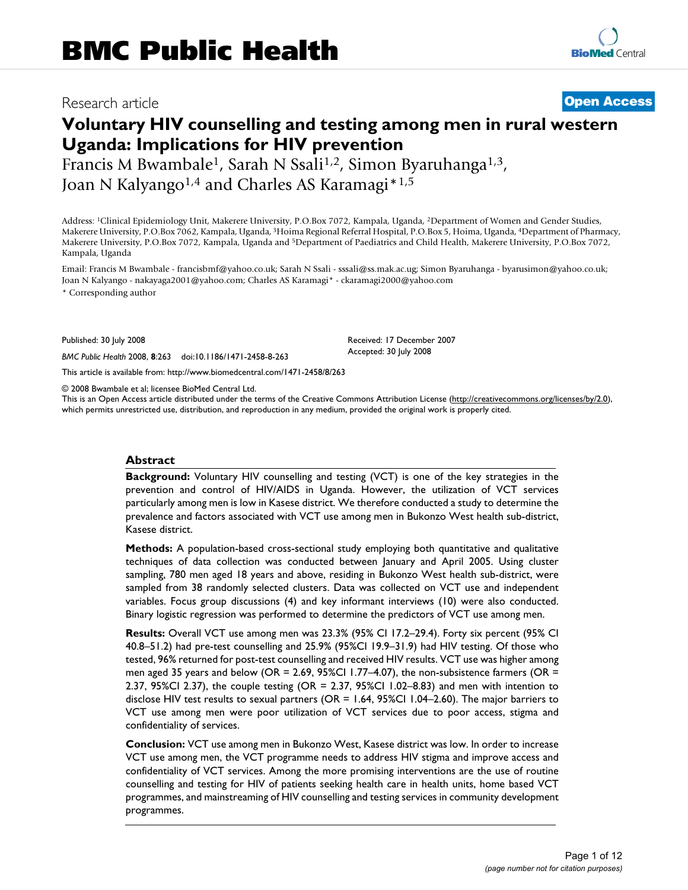# Research article **[Open Access](http://www.biomedcentral.com/info/about/charter/)**

# **Voluntary HIV counselling and testing among men in rural western Uganda: Implications for HIV prevention**

Francis M Bwambale<sup>1</sup>, Sarah N Ssali<sup>1,2</sup>, Simon Byaruhanga<sup>1,3</sup>, Joan N Kalyango<sup>1,4</sup> and Charles AS Karamagi<sup>\*1,5</sup>

Address: 1Clinical Epidemiology Unit, Makerere University, P.O.Box 7072, Kampala, Uganda, 2Department of Women and Gender Studies, Makerere University, P.O.Box 7062, Kampala, Uganda, 3Hoima Regional Referral Hospital, P.O.Box 5, Hoima, Uganda, 4Department of Pharmacy, Makerere University, P.O.Box 7072, Kampala, Uganda and 5Department of Paediatrics and Child Health, Makerere University, P.O.Box 7072, Kampala, Uganda

Email: Francis M Bwambale - francisbmf@yahoo.co.uk; Sarah N Ssali - sssali@ss.mak.ac.ug; Simon Byaruhanga - byarusimon@yahoo.co.uk; Joan N Kalyango - nakayaga2001@yahoo.com; Charles AS Karamagi\* - ckaramagi2000@yahoo.com

\* Corresponding author

Published: 30 July 2008

*BMC Public Health* 2008, **8**:263 doi:10.1186/1471-2458-8-263

[This article is available from: http://www.biomedcentral.com/1471-2458/8/263](http://www.biomedcentral.com/1471-2458/8/263)

© 2008 Bwambale et al; licensee BioMed Central Ltd.

This is an Open Access article distributed under the terms of the Creative Commons Attribution License [\(http://creativecommons.org/licenses/by/2.0\)](http://creativecommons.org/licenses/by/2.0), which permits unrestricted use, distribution, and reproduction in any medium, provided the original work is properly cited.

Received: 17 December 2007 Accepted: 30 July 2008

#### **Abstract**

**Background:** Voluntary HIV counselling and testing (VCT) is one of the key strategies in the prevention and control of HIV/AIDS in Uganda. However, the utilization of VCT services particularly among men is low in Kasese district. We therefore conducted a study to determine the prevalence and factors associated with VCT use among men in Bukonzo West health sub-district, Kasese district.

**Methods:** A population-based cross-sectional study employing both quantitative and qualitative techniques of data collection was conducted between January and April 2005. Using cluster sampling, 780 men aged 18 years and above, residing in Bukonzo West health sub-district, were sampled from 38 randomly selected clusters. Data was collected on VCT use and independent variables. Focus group discussions (4) and key informant interviews (10) were also conducted. Binary logistic regression was performed to determine the predictors of VCT use among men.

**Results:** Overall VCT use among men was 23.3% (95% CI 17.2–29.4). Forty six percent (95% CI 40.8–51.2) had pre-test counselling and 25.9% (95%CI 19.9–31.9) had HIV testing. Of those who tested, 96% returned for post-test counselling and received HIV results. VCT use was higher among men aged 35 years and below (OR = 2.69, 95%CI 1.77–4.07), the non-subsistence farmers (OR = 2.37, 95%CI 2.37), the couple testing (OR = 2.37, 95%CI 1.02–8.83) and men with intention to disclose HIV test results to sexual partners (OR = 1.64, 95%CI 1.04–2.60). The major barriers to VCT use among men were poor utilization of VCT services due to poor access, stigma and confidentiality of services.

**Conclusion:** VCT use among men in Bukonzo West, Kasese district was low. In order to increase VCT use among men, the VCT programme needs to address HIV stigma and improve access and confidentiality of VCT services. Among the more promising interventions are the use of routine counselling and testing for HIV of patients seeking health care in health units, home based VCT programmes, and mainstreaming of HIV counselling and testing services in community development programmes.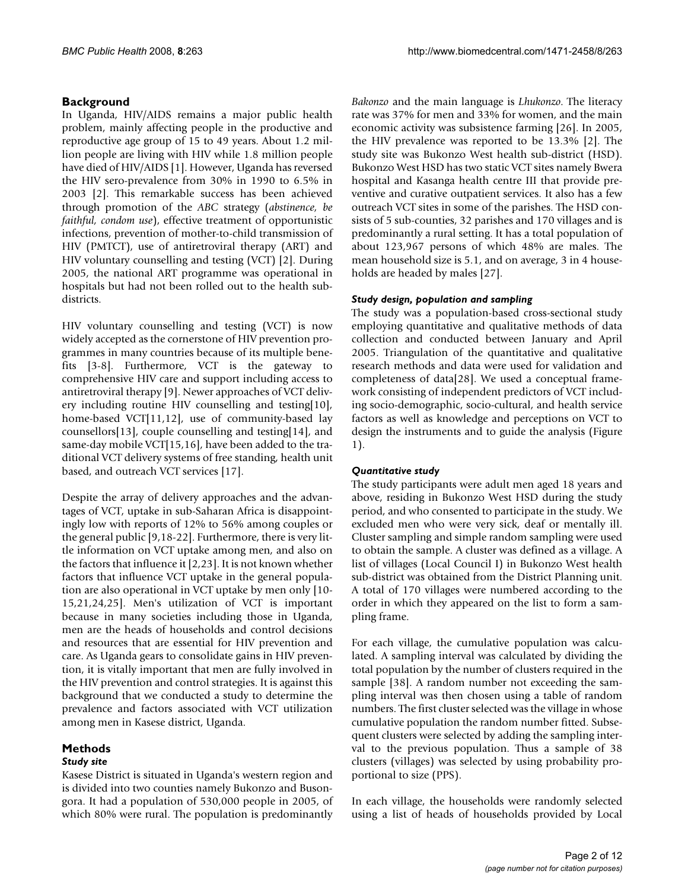# **Background**

In Uganda, HIV/AIDS remains a major public health problem, mainly affecting people in the productive and reproductive age group of 15 to 49 years. About 1.2 million people are living with HIV while 1.8 million people have died of HIV/AIDS [1]. However, Uganda has reversed the HIV sero-prevalence from 30% in 1990 to 6.5% in 2003 [2]. This remarkable success has been achieved through promotion of the *ABC* strategy (*abstinence, be faithful, condom use*), effective treatment of opportunistic infections, prevention of mother-to-child transmission of HIV (PMTCT), use of antiretroviral therapy (ART) and HIV voluntary counselling and testing (VCT) [2]. During 2005, the national ART programme was operational in hospitals but had not been rolled out to the health subdistricts.

HIV voluntary counselling and testing (VCT) is now widely accepted as the cornerstone of HIV prevention programmes in many countries because of its multiple benefits [3-8]. Furthermore, VCT is the gateway to comprehensive HIV care and support including access to antiretroviral therapy [9]. Newer approaches of VCT delivery including routine HIV counselling and testing[10], home-based VCT[11,12], use of community-based lay counsellors[13], couple counselling and testing[14], and same-day mobile VCT[15,16], have been added to the traditional VCT delivery systems of free standing, health unit based, and outreach VCT services [17].

Despite the array of delivery approaches and the advantages of VCT, uptake in sub-Saharan Africa is disappointingly low with reports of 12% to 56% among couples or the general public [9,18-22]. Furthermore, there is very little information on VCT uptake among men, and also on the factors that influence it [2,23]. It is not known whether factors that influence VCT uptake in the general population are also operational in VCT uptake by men only [10- 15,21,24,25]. Men's utilization of VCT is important because in many societies including those in Uganda, men are the heads of households and control decisions and resources that are essential for HIV prevention and care. As Uganda gears to consolidate gains in HIV prevention, it is vitally important that men are fully involved in the HIV prevention and control strategies. It is against this background that we conducted a study to determine the prevalence and factors associated with VCT utilization among men in Kasese district, Uganda.

# **Methods**

# *Study site*

Kasese District is situated in Uganda's western region and is divided into two counties namely Bukonzo and Busongora. It had a population of 530,000 people in 2005, of which 80% were rural. The population is predominantly *Bakonzo* and the main language is *Lhukonzo*. The literacy rate was 37% for men and 33% for women, and the main economic activity was subsistence farming [26]. In 2005, the HIV prevalence was reported to be 13.3% [2]. The study site was Bukonzo West health sub-district (HSD). Bukonzo West HSD has two static VCT sites namely Bwera hospital and Kasanga health centre III that provide preventive and curative outpatient services. It also has a few outreach VCT sites in some of the parishes. The HSD consists of 5 sub-counties, 32 parishes and 170 villages and is predominantly a rural setting. It has a total population of about 123,967 persons of which 48% are males. The mean household size is 5.1, and on average, 3 in 4 households are headed by males [27].

# *Study design, population and sampling*

The study was a population-based cross-sectional study employing quantitative and qualitative methods of data collection and conducted between January and April 2005. Triangulation of the quantitative and qualitative research methods and data were used for validation and completeness of data[28]. We used a conceptual framework consisting of independent predictors of VCT including socio-demographic, socio-cultural, and health service factors as well as knowledge and perceptions on VCT to design the instruments and to guide the analysis (Figure 1).

# *Quantitative study*

The study participants were adult men aged 18 years and above, residing in Bukonzo West HSD during the study period, and who consented to participate in the study. We excluded men who were very sick, deaf or mentally ill. Cluster sampling and simple random sampling were used to obtain the sample. A cluster was defined as a village. A list of villages (Local Council I) in Bukonzo West health sub-district was obtained from the District Planning unit. A total of 170 villages were numbered according to the order in which they appeared on the list to form a sampling frame.

For each village, the cumulative population was calculated. A sampling interval was calculated by dividing the total population by the number of clusters required in the sample [38]. A random number not exceeding the sampling interval was then chosen using a table of random numbers. The first cluster selected was the village in whose cumulative population the random number fitted. Subsequent clusters were selected by adding the sampling interval to the previous population. Thus a sample of 38 clusters (villages) was selected by using probability proportional to size (PPS).

In each village, the households were randomly selected using a list of heads of households provided by Local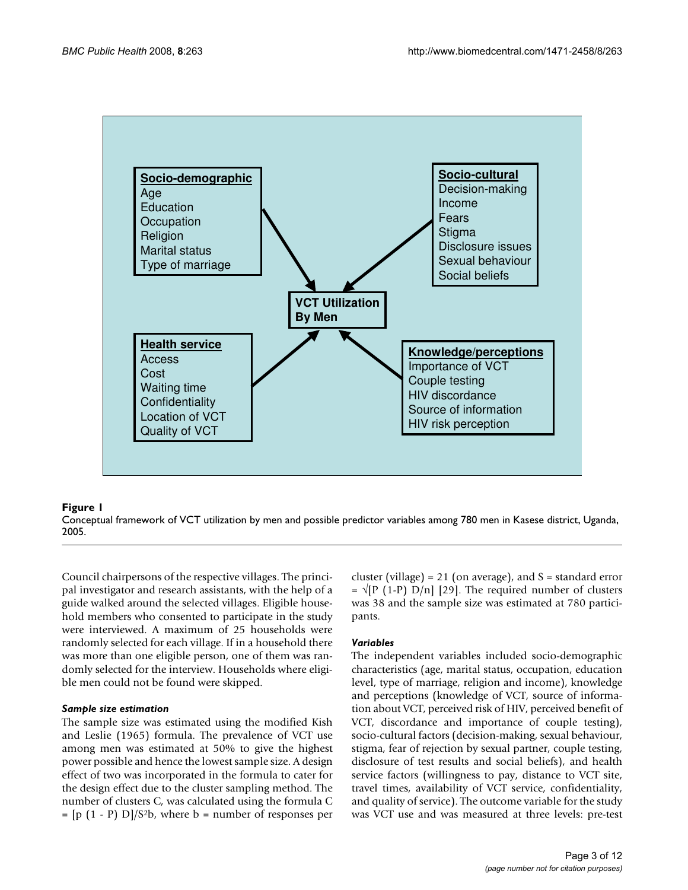

# Conceptual framework of VCT utilization by 2005 **Figure 1** men and possible predictor variables among 780 men in Kasese district, Uganda,

Conceptual framework of VCT utilization by men and possible predictor variables among 780 men in Kasese district, Uganda, 2005.

Council chairpersons of the respective villages. The principal investigator and research assistants, with the help of a guide walked around the selected villages. Eligible household members who consented to participate in the study were interviewed. A maximum of 25 households were randomly selected for each village. If in a household there was more than one eligible person, one of them was randomly selected for the interview. Households where eligible men could not be found were skipped.

#### *Sample size estimation*

The sample size was estimated using the modified Kish and Leslie (1965) formula. The prevalence of VCT use among men was estimated at 50% to give the highest power possible and hence the lowest sample size. A design effect of two was incorporated in the formula to cater for the design effect due to the cluster sampling method. The number of clusters C, was calculated using the formula C  $=[p (1 - P) D]/S<sup>2</sup>b$ , where b = number of responses per cluster (village) =  $21$  (on average), and S = standard error  $=\sqrt{P(1-P)D/n}$  [29]. The required number of clusters was 38 and the sample size was estimated at 780 participants.

# *Variables*

The independent variables included socio-demographic characteristics (age, marital status, occupation, education level, type of marriage, religion and income), knowledge and perceptions (knowledge of VCT, source of information about VCT, perceived risk of HIV, perceived benefit of VCT, discordance and importance of couple testing), socio-cultural factors (decision-making, sexual behaviour, stigma, fear of rejection by sexual partner, couple testing, disclosure of test results and social beliefs), and health service factors (willingness to pay, distance to VCT site, travel times, availability of VCT service, confidentiality, and quality of service). The outcome variable for the study was VCT use and was measured at three levels: pre-test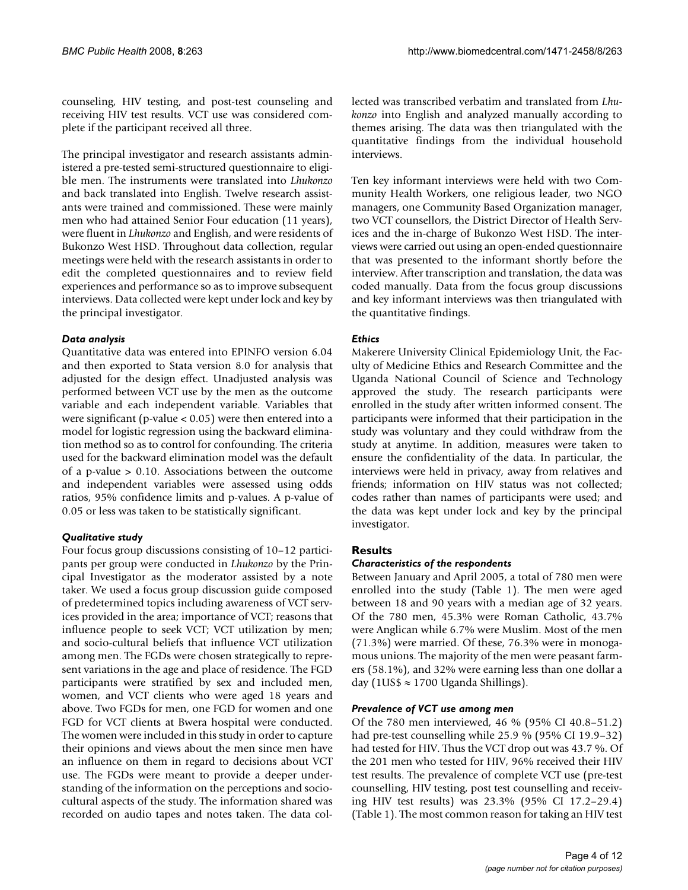counseling, HIV testing, and post-test counseling and receiving HIV test results. VCT use was considered complete if the participant received all three.

The principal investigator and research assistants administered a pre-tested semi-structured questionnaire to eligible men. The instruments were translated into *Lhukonzo* and back translated into English. Twelve research assistants were trained and commissioned. These were mainly men who had attained Senior Four education (11 years), were fluent in *Lhukonzo* and English, and were residents of Bukonzo West HSD. Throughout data collection, regular meetings were held with the research assistants in order to edit the completed questionnaires and to review field experiences and performance so as to improve subsequent interviews. Data collected were kept under lock and key by the principal investigator.

# *Data analysis*

Quantitative data was entered into EPINFO version 6.04 and then exported to Stata version 8.0 for analysis that adjusted for the design effect. Unadjusted analysis was performed between VCT use by the men as the outcome variable and each independent variable. Variables that were significant (p-value < 0.05) were then entered into a model for logistic regression using the backward elimination method so as to control for confounding. The criteria used for the backward elimination model was the default of a p-value > 0.10. Associations between the outcome and independent variables were assessed using odds ratios, 95% confidence limits and p-values. A p-value of 0.05 or less was taken to be statistically significant.

# *Qualitative study*

Four focus group discussions consisting of 10–12 participants per group were conducted in *Lhukonzo* by the Principal Investigator as the moderator assisted by a note taker. We used a focus group discussion guide composed of predetermined topics including awareness of VCT services provided in the area; importance of VCT; reasons that influence people to seek VCT; VCT utilization by men; and socio-cultural beliefs that influence VCT utilization among men. The FGDs were chosen strategically to represent variations in the age and place of residence. The FGD participants were stratified by sex and included men, women, and VCT clients who were aged 18 years and above. Two FGDs for men, one FGD for women and one FGD for VCT clients at Bwera hospital were conducted. The women were included in this study in order to capture their opinions and views about the men since men have an influence on them in regard to decisions about VCT use. The FGDs were meant to provide a deeper understanding of the information on the perceptions and sociocultural aspects of the study. The information shared was recorded on audio tapes and notes taken. The data collected was transcribed verbatim and translated from *Lhukonzo* into English and analyzed manually according to themes arising. The data was then triangulated with the quantitative findings from the individual household interviews.

Ten key informant interviews were held with two Community Health Workers, one religious leader, two NGO managers, one Community Based Organization manager, two VCT counsellors, the District Director of Health Services and the in-charge of Bukonzo West HSD. The interviews were carried out using an open-ended questionnaire that was presented to the informant shortly before the interview. After transcription and translation, the data was coded manually. Data from the focus group discussions and key informant interviews was then triangulated with the quantitative findings.

# *Ethics*

Makerere University Clinical Epidemiology Unit, the Faculty of Medicine Ethics and Research Committee and the Uganda National Council of Science and Technology approved the study. The research participants were enrolled in the study after written informed consent. The participants were informed that their participation in the study was voluntary and they could withdraw from the study at anytime. In addition, measures were taken to ensure the confidentiality of the data. In particular, the interviews were held in privacy, away from relatives and friends; information on HIV status was not collected; codes rather than names of participants were used; and the data was kept under lock and key by the principal investigator.

# **Results**

# *Characteristics of the respondents*

Between January and April 2005, a total of 780 men were enrolled into the study (Table 1). The men were aged between 18 and 90 years with a median age of 32 years. Of the 780 men, 45.3% were Roman Catholic, 43.7% were Anglican while 6.7% were Muslim. Most of the men (71.3%) were married. Of these, 76.3% were in monogamous unions. The majority of the men were peasant farmers (58.1%), and 32% were earning less than one dollar a day (1US\$  $\approx$  1700 Uganda Shillings).

# *Prevalence of VCT use among men*

Of the 780 men interviewed, 46 % (95% CI 40.8–51.2) had pre-test counselling while 25.9 % (95% CI 19.9–32) had tested for HIV. Thus the VCT drop out was 43.7 %. Of the 201 men who tested for HIV, 96% received their HIV test results. The prevalence of complete VCT use (pre-test counselling, HIV testing, post test counselling and receiving HIV test results) was 23.3% (95% CI 17.2–29.4) (Table 1). The most common reason for taking an HIV test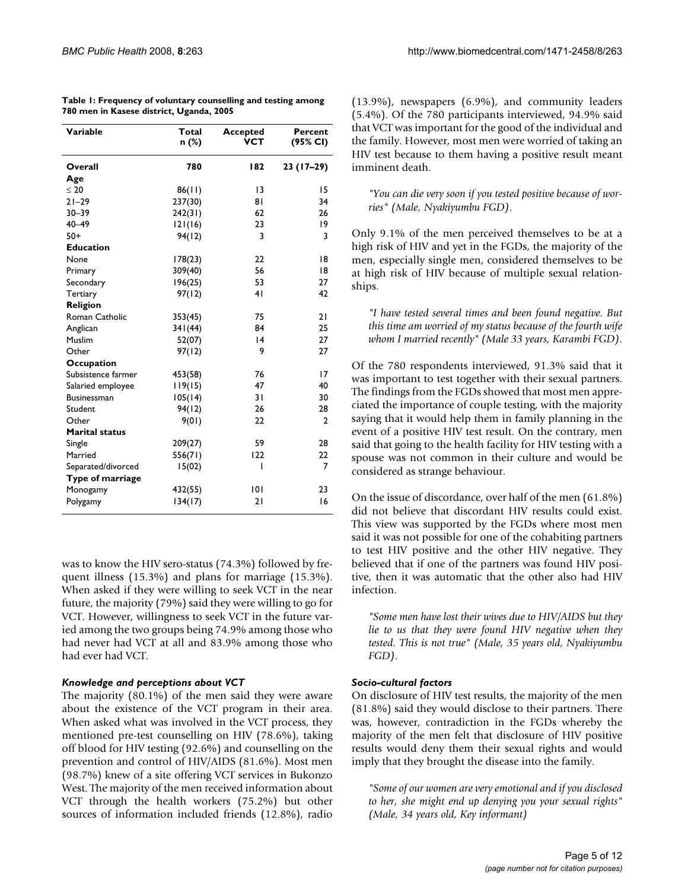| Variable              | Total<br>n (%) | <b>Accepted</b><br><b>VCT</b> | Percent<br>(95% CI) |
|-----------------------|----------------|-------------------------------|---------------------|
| Overall               | 780            | 182                           | $23(17-29)$         |
| Age                   |                |                               |                     |
| $\leq 20$             | 86(11)         | 13                            | 15                  |
| $21 - 29$             | 237(30)        | 81                            | 34                  |
| $30 - 39$             | 242(31)        | 62                            | 26                  |
| $40 - 49$             | 121(16)        | 23                            | 9                   |
| $50+$                 | 94(12)         | 3                             | 3                   |
| <b>Education</b>      |                |                               |                     |
| None                  | 178(23)        | 22                            | 18                  |
| Primary               | 309(40)        | 56                            | 8                   |
| Secondary             | 196(25)        | 53                            | 27                  |
| Tertiary              | 97(12)         | 41                            | 42                  |
| <b>Religion</b>       |                |                               |                     |
| Roman Catholic        | 353(45)        | 75                            | 21                  |
| Anglican              | 341(44)        | 84                            | 25                  |
| Muslim                | 52(07)         | 4                             | 27                  |
| Other                 | 97(12)         | 9                             | 27                  |
| Occupation            |                |                               |                     |
| Subsistence farmer    | 453(58)        | 76                            | 17                  |
| Salaried employee     | 119(15)        | 47                            | 40                  |
| <b>Businessman</b>    | 105(14)        | 31                            | 30                  |
| Student               | 94(12)         | 26                            | 28                  |
| Other                 | 9(01)          | 22                            | $\overline{2}$      |
| <b>Marital status</b> |                |                               |                     |
| Single                | 209(27)        | 59                            | 28                  |
| Married               | 556(71)        | 122                           | 22                  |
| Separated/divorced    | 15(02)         | ı                             | 7                   |
| Type of marriage      |                |                               |                     |
| Monogamy              | 432(55)        | 0                             | 23                  |
| Polygamy              | 134(17)        | 21                            | 16                  |

**Table 1: Frequency of voluntary counselling and testing among 780 men in Kasese district, Uganda, 2005**

was to know the HIV sero-status (74.3%) followed by frequent illness (15.3%) and plans for marriage (15.3%). When asked if they were willing to seek VCT in the near future, the majority (79%) said they were willing to go for VCT. However, willingness to seek VCT in the future varied among the two groups being 74.9% among those who had never had VCT at all and 83.9% among those who had ever had VCT.

#### *Knowledge and perceptions about VCT*

The majority (80.1%) of the men said they were aware about the existence of the VCT program in their area. When asked what was involved in the VCT process, they mentioned pre-test counselling on HIV (78.6%), taking off blood for HIV testing (92.6%) and counselling on the prevention and control of HIV/AIDS (81.6%). Most men (98.7%) knew of a site offering VCT services in Bukonzo West. The majority of the men received information about VCT through the health workers (75.2%) but other sources of information included friends (12.8%), radio

(13.9%), newspapers (6.9%), and community leaders (5.4%). Of the 780 participants interviewed, 94.9% said that VCT was important for the good of the individual and the family. However, most men were worried of taking an HIV test because to them having a positive result meant imminent death.

*"You can die very soon if you tested positive because of worries" (Male, Nyakiyumbu FGD)*.

Only 9.1% of the men perceived themselves to be at a high risk of HIV and yet in the FGDs, the majority of the men, especially single men, considered themselves to be at high risk of HIV because of multiple sexual relationships.

*"I have tested several times and been found negative. But this time am worried of my status because of the fourth wife whom I married recently" (Male 33 years, Karambi FGD)*.

Of the 780 respondents interviewed, 91.3% said that it was important to test together with their sexual partners. The findings from the FGDs showed that most men appreciated the importance of couple testing, with the majority saying that it would help them in family planning in the event of a positive HIV test result. On the contrary, men said that going to the health facility for HIV testing with a spouse was not common in their culture and would be considered as strange behaviour.

On the issue of discordance, over half of the men (61.8%) did not believe that discordant HIV results could exist. This view was supported by the FGDs where most men said it was not possible for one of the cohabiting partners to test HIV positive and the other HIV negative. They believed that if one of the partners was found HIV positive, then it was automatic that the other also had HIV infection.

*"Some men have lost their wives due to HIV/AIDS but they lie to us that they were found HIV negative when they tested. This is not true" (Male, 35 years old, Nyakiyumbu FGD)*.

# *Socio-cultural factors*

On disclosure of HIV test results, the majority of the men (81.8%) said they would disclose to their partners. There was, however, contradiction in the FGDs whereby the majority of the men felt that disclosure of HIV positive results would deny them their sexual rights and would imply that they brought the disease into the family.

*"Some of our women are very emotional and if you disclosed to her, she might end up denying you your sexual rights" (Male, 34 years old, Key informant)*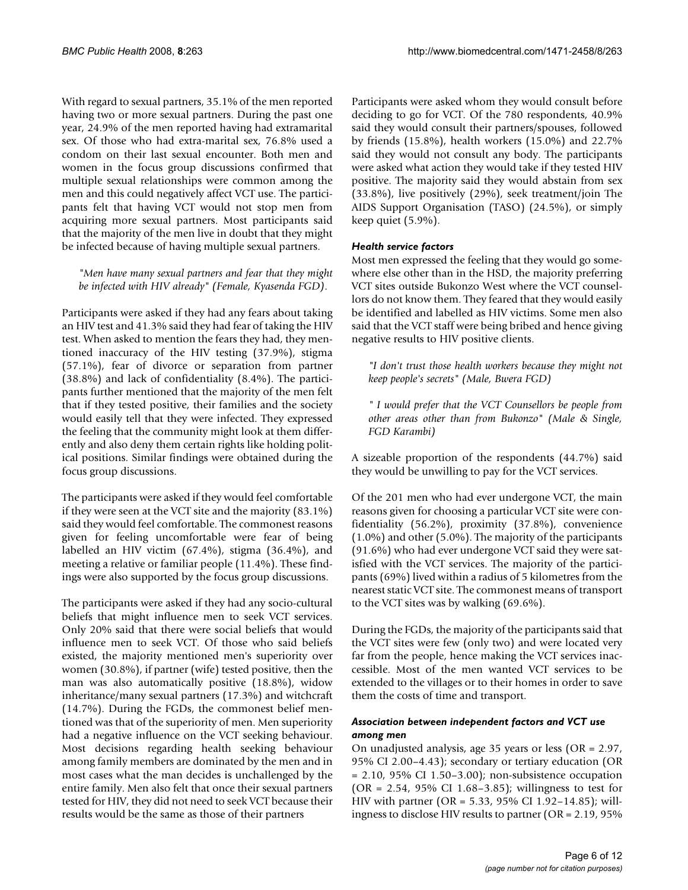With regard to sexual partners, 35.1% of the men reported having two or more sexual partners. During the past one year, 24.9% of the men reported having had extramarital sex. Of those who had extra-marital sex, 76.8% used a condom on their last sexual encounter. Both men and women in the focus group discussions confirmed that multiple sexual relationships were common among the men and this could negatively affect VCT use. The participants felt that having VCT would not stop men from acquiring more sexual partners. Most participants said that the majority of the men live in doubt that they might be infected because of having multiple sexual partners.

*"Men have many sexual partners and fear that they might be infected with HIV already" (Female, Kyasenda FGD)*.

Participants were asked if they had any fears about taking an HIV test and 41.3% said they had fear of taking the HIV test. When asked to mention the fears they had, they mentioned inaccuracy of the HIV testing (37.9%), stigma (57.1%), fear of divorce or separation from partner (38.8%) and lack of confidentiality (8.4%). The participants further mentioned that the majority of the men felt that if they tested positive, their families and the society would easily tell that they were infected. They expressed the feeling that the community might look at them differently and also deny them certain rights like holding political positions. Similar findings were obtained during the focus group discussions.

The participants were asked if they would feel comfortable if they were seen at the VCT site and the majority (83.1%) said they would feel comfortable. The commonest reasons given for feeling uncomfortable were fear of being labelled an HIV victim (67.4%), stigma (36.4%), and meeting a relative or familiar people (11.4%). These findings were also supported by the focus group discussions.

The participants were asked if they had any socio-cultural beliefs that might influence men to seek VCT services. Only 20% said that there were social beliefs that would influence men to seek VCT. Of those who said beliefs existed, the majority mentioned men's superiority over women (30.8%), if partner (wife) tested positive, then the man was also automatically positive (18.8%), widow inheritance/many sexual partners (17.3%) and witchcraft (14.7%). During the FGDs, the commonest belief mentioned was that of the superiority of men. Men superiority had a negative influence on the VCT seeking behaviour. Most decisions regarding health seeking behaviour among family members are dominated by the men and in most cases what the man decides is unchallenged by the entire family. Men also felt that once their sexual partners tested for HIV, they did not need to seek VCT because their results would be the same as those of their partners

Participants were asked whom they would consult before deciding to go for VCT. Of the 780 respondents, 40.9% said they would consult their partners/spouses, followed by friends (15.8%), health workers (15.0%) and 22.7% said they would not consult any body. The participants were asked what action they would take if they tested HIV positive. The majority said they would abstain from sex (33.8%), live positively (29%), seek treatment/join The AIDS Support Organisation (TASO) (24.5%), or simply keep quiet (5.9%).

# *Health service factors*

Most men expressed the feeling that they would go somewhere else other than in the HSD, the majority preferring VCT sites outside Bukonzo West where the VCT counsellors do not know them. They feared that they would easily be identified and labelled as HIV victims. Some men also said that the VCT staff were being bribed and hence giving negative results to HIV positive clients.

*"I don't trust those health workers because they might not keep people's secrets" (Male, Bwera FGD)*

*" I would prefer that the VCT Counsellors be people from other areas other than from Bukonzo" (Male & Single, FGD Karambi)*

A sizeable proportion of the respondents (44.7%) said they would be unwilling to pay for the VCT services.

Of the 201 men who had ever undergone VCT, the main reasons given for choosing a particular VCT site were confidentiality (56.2%), proximity (37.8%), convenience (1.0%) and other (5.0%). The majority of the participants (91.6%) who had ever undergone VCT said they were satisfied with the VCT services. The majority of the participants (69%) lived within a radius of 5 kilometres from the nearest static VCT site. The commonest means of transport to the VCT sites was by walking (69.6%).

During the FGDs, the majority of the participants said that the VCT sites were few (only two) and were located very far from the people, hence making the VCT services inaccessible. Most of the men wanted VCT services to be extended to the villages or to their homes in order to save them the costs of time and transport.

# *Association between independent factors and VCT use among men*

On unadjusted analysis, age 35 years or less (OR = 2.97, 95% CI 2.00–4.43); secondary or tertiary education (OR = 2.10, 95% CI 1.50–3.00); non-subsistence occupation (OR = 2.54, 95% CI 1.68–3.85); willingness to test for HIV with partner (OR = 5.33, 95% CI 1.92–14.85); willingness to disclose HIV results to partner (OR = 2.19, 95%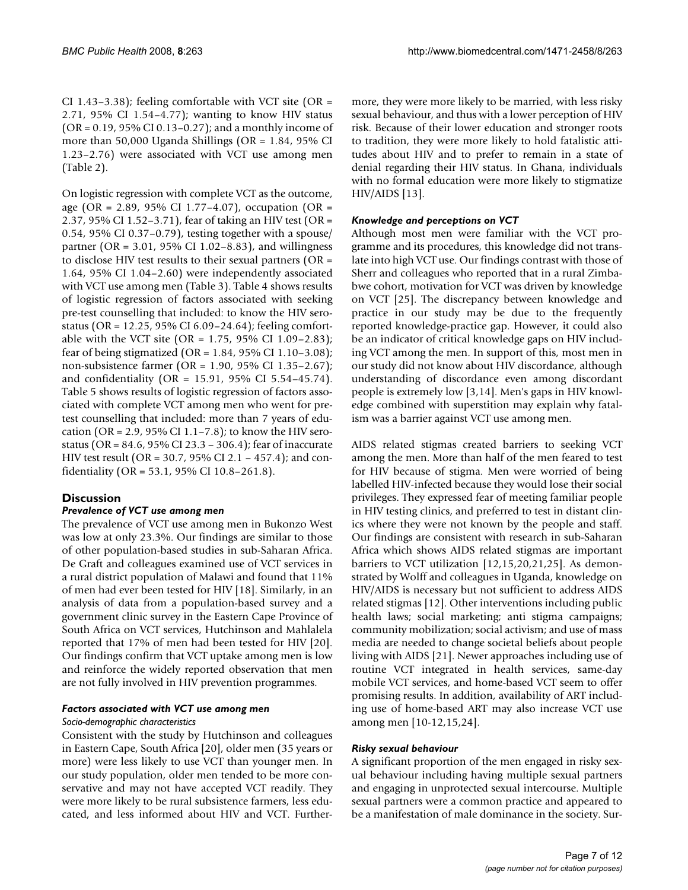CI 1.43–3.38); feeling comfortable with VCT site (OR = 2.71, 95% CI 1.54–4.77); wanting to know HIV status (OR = 0.19, 95% CI 0.13–0.27); and a monthly income of more than 50,000 Uganda Shillings (OR = 1.84, 95% CI 1.23–2.76) were associated with VCT use among men (Table 2).

On logistic regression with complete VCT as the outcome, age (OR = 2.89, 95% CI 1.77–4.07), occupation (OR = 2.37, 95% CI 1.52–3.71), fear of taking an HIV test (OR = 0.54, 95% CI 0.37–0.79), testing together with a spouse/ partner (OR = 3.01, 95% CI 1.02–8.83), and willingness to disclose HIV test results to their sexual partners (OR = 1.64, 95% CI 1.04–2.60) were independently associated with VCT use among men (Table 3). Table 4 shows results of logistic regression of factors associated with seeking pre-test counselling that included: to know the HIV serostatus (OR = 12.25, 95% CI 6.09–24.64); feeling comfortable with the VCT site (OR =  $1.75$ , 95% CI 1.09-2.83); fear of being stigmatized (OR =  $1.84$ , 95% CI 1.10-3.08); non-subsistence farmer (OR = 1.90, 95% CI 1.35–2.67); and confidentiality (OR = 15.91, 95% CI 5.54–45.74). Table 5 shows results of logistic regression of factors associated with complete VCT among men who went for pretest counselling that included: more than 7 years of education (OR = 2.9, 95% CI 1.1–7.8); to know the HIV serostatus (OR = 84.6, 95% CI 23.3 – 306.4); fear of inaccurate HIV test result (OR = 30.7, 95% CI 2.1 – 457.4); and confidentiality (OR = 53.1, 95% CI 10.8–261.8).

# **Discussion**

# *Prevalence of VCT use among men*

The prevalence of VCT use among men in Bukonzo West was low at only 23.3%. Our findings are similar to those of other population-based studies in sub-Saharan Africa. De Graft and colleagues examined use of VCT services in a rural district population of Malawi and found that 11% of men had ever been tested for HIV [18]. Similarly, in an analysis of data from a population-based survey and a government clinic survey in the Eastern Cape Province of South Africa on VCT services, Hutchinson and Mahlalela reported that 17% of men had been tested for HIV [20]. Our findings confirm that VCT uptake among men is low and reinforce the widely reported observation that men are not fully involved in HIV prevention programmes.

#### *Factors associated with VCT use among men*

#### *Socio-demographic characteristics*

Consistent with the study by Hutchinson and colleagues in Eastern Cape, South Africa [20], older men (35 years or more) were less likely to use VCT than younger men. In our study population, older men tended to be more conservative and may not have accepted VCT readily. They were more likely to be rural subsistence farmers, less educated, and less informed about HIV and VCT. Furthermore, they were more likely to be married, with less risky sexual behaviour, and thus with a lower perception of HIV risk. Because of their lower education and stronger roots to tradition, they were more likely to hold fatalistic attitudes about HIV and to prefer to remain in a state of denial regarding their HIV status. In Ghana, individuals with no formal education were more likely to stigmatize HIV/AIDS [13].

# *Knowledge and perceptions on VCT*

Although most men were familiar with the VCT programme and its procedures, this knowledge did not translate into high VCT use. Our findings contrast with those of Sherr and colleagues who reported that in a rural Zimbabwe cohort, motivation for VCT was driven by knowledge on VCT [25]. The discrepancy between knowledge and practice in our study may be due to the frequently reported knowledge-practice gap. However, it could also be an indicator of critical knowledge gaps on HIV including VCT among the men. In support of this, most men in our study did not know about HIV discordance, although understanding of discordance even among discordant people is extremely low [3,14]. Men's gaps in HIV knowledge combined with superstition may explain why fatalism was a barrier against VCT use among men.

AIDS related stigmas created barriers to seeking VCT among the men. More than half of the men feared to test for HIV because of stigma. Men were worried of being labelled HIV-infected because they would lose their social privileges. They expressed fear of meeting familiar people in HIV testing clinics, and preferred to test in distant clinics where they were not known by the people and staff. Our findings are consistent with research in sub-Saharan Africa which shows AIDS related stigmas are important barriers to VCT utilization [12,15,20,21,25]. As demonstrated by Wolff and colleagues in Uganda, knowledge on HIV/AIDS is necessary but not sufficient to address AIDS related stigmas [12]. Other interventions including public health laws; social marketing; anti stigma campaigns; community mobilization; social activism; and use of mass media are needed to change societal beliefs about people living with AIDS [21]. Newer approaches including use of routine VCT integrated in health services, same-day mobile VCT services, and home-based VCT seem to offer promising results. In addition, availability of ART including use of home-based ART may also increase VCT use among men [10-12,15,24].

# *Risky sexual behaviour*

A significant proportion of the men engaged in risky sexual behaviour including having multiple sexual partners and engaging in unprotected sexual intercourse. Multiple sexual partners were a common practice and appeared to be a manifestation of male dominance in the society. Sur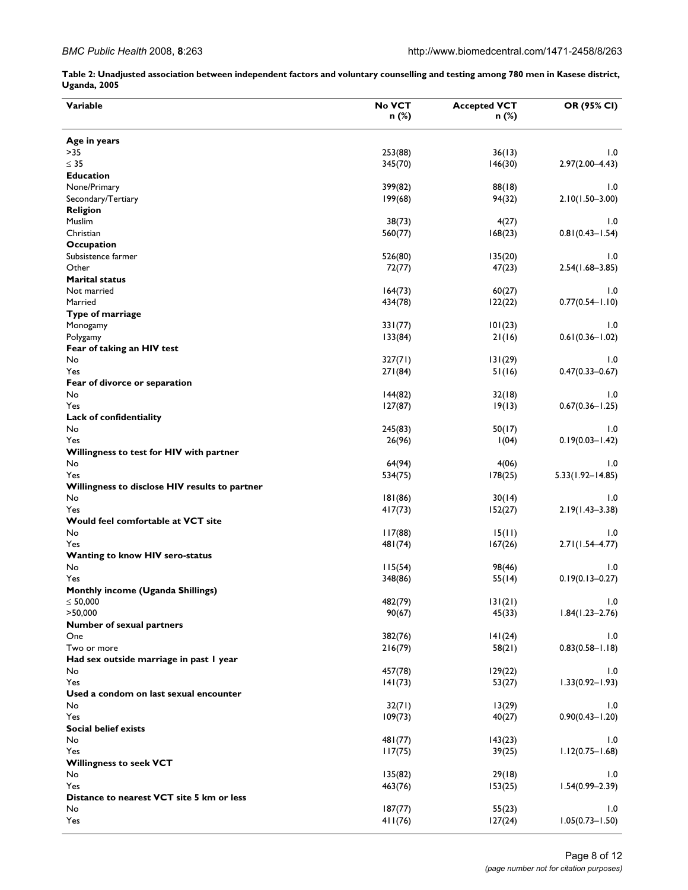**Table 2: Unadjusted association between independent factors and voluntary counselling and testing among 780 men in Kasese district, Uganda, 2005**

| Variable                                       | No VCT  | <b>Accepted VCT</b> | OR (95% CI)                |
|------------------------------------------------|---------|---------------------|----------------------------|
|                                                | n (%)   | n (%)               |                            |
|                                                |         |                     |                            |
| Age in years                                   |         |                     |                            |
| >35                                            | 253(88) | 36(13)              | 1.0                        |
| $\leq$ 35                                      | 345(70) | 146(30)             | $2.97(2.00 - 4.43)$        |
| <b>Education</b>                               |         |                     |                            |
| None/Primary                                   | 399(82) | 88(18)              | 1.0                        |
| Secondary/Tertiary                             | 199(68) | 94(32)              | $2.10(1.50 - 3.00)$        |
| <b>Religion</b>                                |         |                     |                            |
| Muslim                                         | 38(73)  | 4(27)               | 1.0                        |
| Christian                                      | 560(77) | 168(23)             | $0.81(0.43 - 1.54)$        |
| Occupation                                     |         |                     |                            |
| Subsistence farmer                             | 526(80) | 135(20)             | 1.0                        |
| Other                                          | 72(77)  | 47(23)              | $2.54(1.68 - 3.85)$        |
| <b>Marital status</b>                          |         |                     |                            |
| Not married                                    | 164(73) | 60(27)              | 1.0                        |
| Married                                        | 434(78) | 122(22)             | $0.77(0.54 - 1.10)$        |
| Type of marriage                               |         |                     |                            |
| Monogamy                                       | 331(77) | 101(23)             | 1.0                        |
| Polygamy                                       | 133(84) | 21(16)              | $0.61(0.36 - 1.02)$        |
| Fear of taking an HIV test                     |         |                     |                            |
| No                                             | 327(71) | 131(29)             | 1.0                        |
| Yes                                            | 271(84) | 51(16)              | $0.47(0.33 - 0.67)$        |
| Fear of divorce or separation                  |         |                     |                            |
| No                                             | 144(82) | 32(18)              | 1.0                        |
| Yes                                            | 127(87) | 19(13)              | $0.67(0.36 - 1.25)$        |
| Lack of confidentiality                        |         |                     |                            |
| No                                             | 245(83) | 50(17)              | 1.0                        |
| Yes                                            | 26(96)  | 1(04)               | $0.19(0.03 - 1.42)$        |
| Willingness to test for HIV with partner       |         |                     |                            |
| No                                             | 64(94)  | 4(06)               | 1.0                        |
| Yes                                            | 534(75) | 178(25)             | $5.33(1.92 - 14.85)$       |
| Willingness to disclose HIV results to partner |         |                     |                            |
| No                                             | 181(86) | 30(14)              | 1.0                        |
| Yes<br>Would feel comfortable at VCT site      | 417(73) | 152(27)             | $2.19(1.43 - 3.38)$        |
| No                                             |         |                     |                            |
| Yes                                            | 117(88) | 15(11)              | 1.0<br>$2.71(1.54 - 4.77)$ |
| Wanting to know HIV sero-status                | 481(74) | 167(26)             |                            |
| No                                             | 115(54) |                     | 1.0                        |
| Yes                                            | 348(86) | 98(46)<br>55(14)    | $0.19(0.13 - 0.27)$        |
| Monthly income (Uganda Shillings)              |         |                     |                            |
| $\leq 50,000$                                  | 482(79) | 131(21)             | 1.0                        |
| >50,000                                        | 90(67)  | 45(33)              | $1.84(1.23 - 2.76)$        |
| <b>Number of sexual partners</b>               |         |                     |                            |
| One                                            | 382(76) | 141(24)             | 1.0                        |
| Two or more                                    | 216(79) | 58(21)              | $0.83(0.58 - 1.18)$        |
| Had sex outside marriage in past I year        |         |                     |                            |
| No                                             | 457(78) | 129(22)             | 1.0                        |
| Yes                                            | 141(73) | 53(27)              | $1.33(0.92 - 1.93)$        |
| Used a condom on last sexual encounter         |         |                     |                            |
| No                                             | 32(71)  | 13(29)              | 1.0                        |
| Yes                                            | 109(73) | 40(27)              | $0.90(0.43 - 1.20)$        |
| <b>Social belief exists</b>                    |         |                     |                            |
| No                                             | 481(77) | 143(23)             | 1.0                        |
| Yes                                            | 117(75) | 39(25)              | $1.12(0.75 - 1.68)$        |
| <b>Willingness to seek VCT</b>                 |         |                     |                            |
| No                                             | 135(82) | 29(18)              | 1.0                        |
| Yes                                            | 463(76) | 153(25)             | $1.54(0.99 - 2.39)$        |
| Distance to nearest VCT site 5 km or less      |         |                     |                            |
| No                                             | 187(77) | 55(23)              | 1.0                        |
| Yes                                            | 411(76) | 127(24)             | $1.05(0.73 - 1.50)$        |
|                                                |         |                     |                            |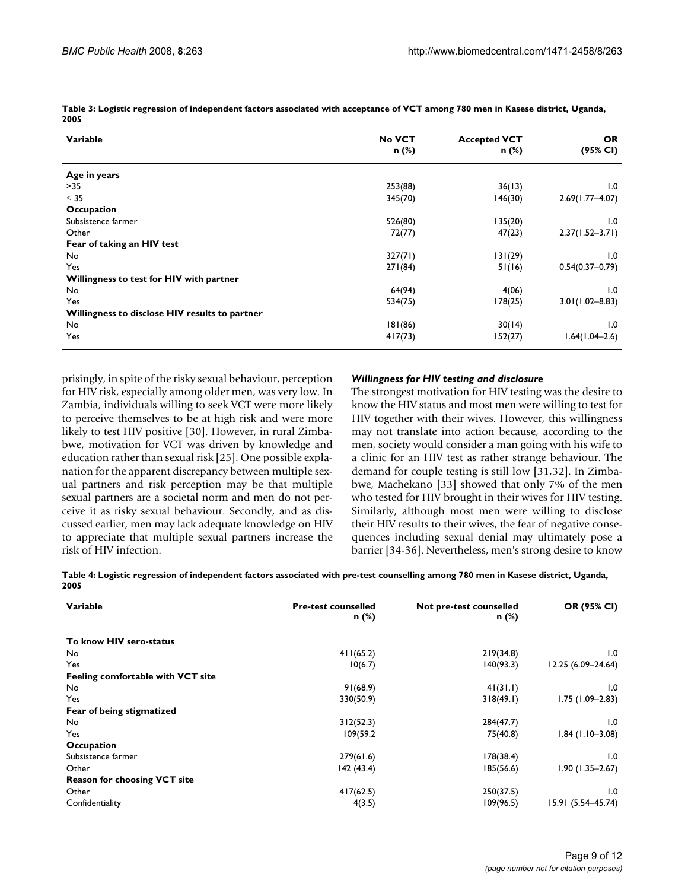| Variable                                       | No VCT  | <b>Accepted VCT</b> | <b>OR</b>           |
|------------------------------------------------|---------|---------------------|---------------------|
|                                                | n (%)   | n (%)               | (95% CI)            |
| Age in years                                   |         |                     |                     |
| >35                                            | 253(88) | 36(13)              | 1.0                 |
| $\leq$ 35                                      | 345(70) | 146(30)             | $2.69(1.77 - 4.07)$ |
| Occupation                                     |         |                     |                     |
| Subsistence farmer                             | 526(80) | 135(20)             | 1.0                 |
| Other                                          | 72(77)  | 47(23)              | $2.37(1.52 - 3.71)$ |
| Fear of taking an HIV test                     |         |                     |                     |
| No.                                            | 327(71) | 131(29)             | 1.0                 |
| Yes                                            | 271(84) | 51(16)              | $0.54(0.37-0.79)$   |
| Willingness to test for HIV with partner       |         |                     |                     |
| No.                                            | 64(94)  | 4(06)               | 1.0                 |
| Yes                                            | 534(75) | 178(25)             | $3.01(1.02 - 8.83)$ |
| Willingness to disclose HIV results to partner |         |                     |                     |
| No.                                            | 181(86) | 30(14)              | 1.0                 |
| Yes                                            | 417(73) | 152(27)             | $1.64(1.04-2.6)$    |

**Table 3: Logistic regression of independent factors associated with acceptance of VCT among 780 men in Kasese district, Uganda, 2005**

prisingly, in spite of the risky sexual behaviour, perception for HIV risk, especially among older men, was very low. In Zambia, individuals willing to seek VCT were more likely to perceive themselves to be at high risk and were more likely to test HIV positive [30]. However, in rural Zimbabwe, motivation for VCT was driven by knowledge and education rather than sexual risk [25]. One possible explanation for the apparent discrepancy between multiple sexual partners and risk perception may be that multiple sexual partners are a societal norm and men do not perceive it as risky sexual behaviour. Secondly, and as discussed earlier, men may lack adequate knowledge on HIV to appreciate that multiple sexual partners increase the risk of HIV infection.

#### *Willingness for HIV testing and disclosure*

The strongest motivation for HIV testing was the desire to know the HIV status and most men were willing to test for HIV together with their wives. However, this willingness may not translate into action because, according to the men, society would consider a man going with his wife to a clinic for an HIV test as rather strange behaviour. The demand for couple testing is still low [31,32]. In Zimbabwe, Machekano [33] showed that only 7% of the men who tested for HIV brought in their wives for HIV testing. Similarly, although most men were willing to disclose their HIV results to their wives, the fear of negative consequences including sexual denial may ultimately pose a barrier [34-36]. Nevertheless, men's strong desire to know

**Table 4: Logistic regression of independent factors associated with pre-test counselling among 780 men in Kasese district, Uganda, 2005**

| Variable                            | <b>Pre-test counselled</b> | Not pre-test counselled | OR (95% CI)           |
|-------------------------------------|----------------------------|-------------------------|-----------------------|
|                                     | n (%)                      | n (%)                   |                       |
| To know HIV sero-status             |                            |                         |                       |
| No.                                 | 411(65.2)                  | 219(34.8)               | 1.0                   |
| Yes                                 | 10(6.7)                    | 140(93.3)               | $12.25(6.09 - 24.64)$ |
| Feeling comfortable with VCT site   |                            |                         |                       |
| No.                                 | 91(68.9)                   | 41(31.1)                | 1.0                   |
| Yes                                 | 330(50.9)                  | 318(49.1)               | $1.75(1.09 - 2.83)$   |
| Fear of being stigmatized           |                            |                         |                       |
| No.                                 | 312(52.3)                  | 284(47.7)               | 1.0                   |
| Yes                                 | 109(59.2                   | 75(40.8)                | $1.84$ (1.10-3.08)    |
| Occupation                          |                            |                         |                       |
| Subsistence farmer                  | 279(61.6)                  | 178(38.4)               | 1.0                   |
| Other                               | 142(43.4)                  | 185(56.6)               | $1.90(1.35 - 2.67)$   |
| <b>Reason for choosing VCT site</b> |                            |                         |                       |
| Other                               | 417(62.5)                  | 250(37.5)               | 1.0                   |
| Confidentiality                     | 4(3.5)                     | 109(96.5)               | 15.91 (5.54-45.74)    |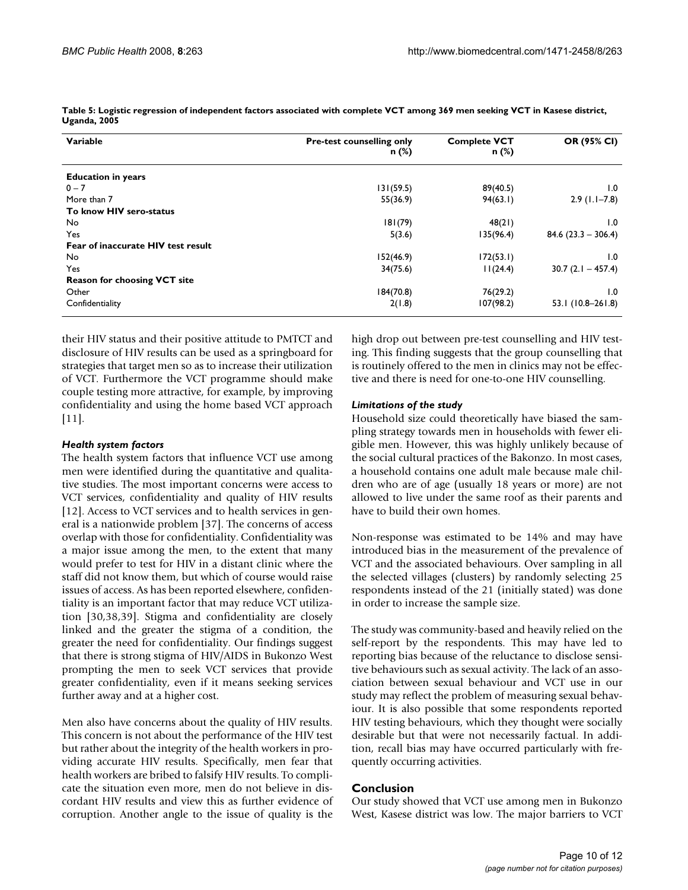| Variable                            | <b>Pre-test counselling only</b><br>n (%) | <b>Complete VCT</b><br>n (%) | OR (95% CI)           |
|-------------------------------------|-------------------------------------------|------------------------------|-----------------------|
| <b>Education in years</b>           |                                           |                              |                       |
| $0 - 7$                             | 131(59.5)                                 | 89(40.5)                     | 1.0                   |
| More than 7                         | 55(36.9)                                  | 94(63.1)                     | $2.9$ (1.1-7.8)       |
| To know HIV sero-status             |                                           |                              |                       |
| No.                                 | 181(79)                                   | 48(21)                       | 1.0                   |
| Yes                                 | 5(3.6)                                    | 135(96.4)                    | $84.6$ (23.3 – 306.4) |
| Fear of inaccurate HIV test result  |                                           |                              |                       |
| No.                                 | 152(46.9)                                 | 172(53.1)                    | 1.0                   |
| Yes                                 | 34(75.6)                                  | 11(24.4)                     | $30.7(2.1 - 457.4)$   |
| <b>Reason for choosing VCT site</b> |                                           |                              |                       |
| Other                               | 184(70.8)                                 | 76(29.2)                     | 1.0                   |
| Confidentiality                     | 2(1.8)                                    | 107(98.2)                    | 53.1 (10.8-261.8)     |

**Table 5: Logistic regression of independent factors associated with complete VCT among 369 men seeking VCT in Kasese district, Uganda, 2005**

their HIV status and their positive attitude to PMTCT and disclosure of HIV results can be used as a springboard for strategies that target men so as to increase their utilization of VCT. Furthermore the VCT programme should make couple testing more attractive, for example, by improving confidentiality and using the home based VCT approach [11].

#### *Health system factors*

The health system factors that influence VCT use among men were identified during the quantitative and qualitative studies. The most important concerns were access to VCT services, confidentiality and quality of HIV results [12]. Access to VCT services and to health services in general is a nationwide problem [37]. The concerns of access overlap with those for confidentiality. Confidentiality was a major issue among the men, to the extent that many would prefer to test for HIV in a distant clinic where the staff did not know them, but which of course would raise issues of access. As has been reported elsewhere, confidentiality is an important factor that may reduce VCT utilization [30,38,39]. Stigma and confidentiality are closely linked and the greater the stigma of a condition, the greater the need for confidentiality. Our findings suggest that there is strong stigma of HIV/AIDS in Bukonzo West prompting the men to seek VCT services that provide greater confidentiality, even if it means seeking services further away and at a higher cost.

Men also have concerns about the quality of HIV results. This concern is not about the performance of the HIV test but rather about the integrity of the health workers in providing accurate HIV results. Specifically, men fear that health workers are bribed to falsify HIV results. To complicate the situation even more, men do not believe in discordant HIV results and view this as further evidence of corruption. Another angle to the issue of quality is the high drop out between pre-test counselling and HIV testing. This finding suggests that the group counselling that is routinely offered to the men in clinics may not be effective and there is need for one-to-one HIV counselling.

#### *Limitations of the study*

Household size could theoretically have biased the sampling strategy towards men in households with fewer eligible men. However, this was highly unlikely because of the social cultural practices of the Bakonzo. In most cases, a household contains one adult male because male children who are of age (usually 18 years or more) are not allowed to live under the same roof as their parents and have to build their own homes.

Non-response was estimated to be 14% and may have introduced bias in the measurement of the prevalence of VCT and the associated behaviours. Over sampling in all the selected villages (clusters) by randomly selecting 25 respondents instead of the 21 (initially stated) was done in order to increase the sample size.

The study was community-based and heavily relied on the self-report by the respondents. This may have led to reporting bias because of the reluctance to disclose sensitive behaviours such as sexual activity. The lack of an association between sexual behaviour and VCT use in our study may reflect the problem of measuring sexual behaviour. It is also possible that some respondents reported HIV testing behaviours, which they thought were socially desirable but that were not necessarily factual. In addition, recall bias may have occurred particularly with frequently occurring activities.

#### **Conclusion**

Our study showed that VCT use among men in Bukonzo West, Kasese district was low. The major barriers to VCT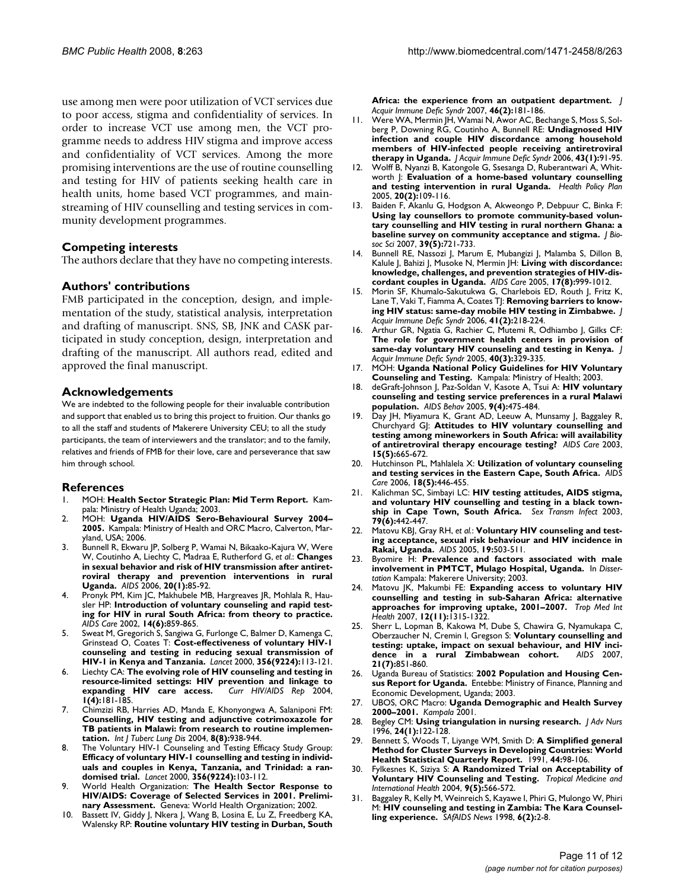use among men were poor utilization of VCT services due to poor access, stigma and confidentiality of services. In order to increase VCT use among men, the VCT programme needs to address HIV stigma and improve access and confidentiality of VCT services. Among the more promising interventions are the use of routine counselling and testing for HIV of patients seeking health care in health units, home based VCT programmes, and mainstreaming of HIV counselling and testing services in community development programmes.

#### **Competing interests**

The authors declare that they have no competing interests.

#### **Authors' contributions**

FMB participated in the conception, design, and implementation of the study, statistical analysis, interpretation and drafting of manuscript. SNS, SB, JNK and CASK participated in study conception, design, interpretation and drafting of the manuscript. All authors read, edited and approved the final manuscript.

#### **Acknowledgements**

We are indebted to the following people for their invaluable contribution and support that enabled us to bring this project to fruition. Our thanks go to all the staff and students of Makerere University CEU; to all the study participants, the team of interviewers and the translator; and to the family, relatives and friends of FMB for their love, care and perseverance that saw him through school.

#### **References**

- 1. MOH: **Health Sector Strategic Plan: Mid Term Report.** Kampala: Ministry of Health Uganda; 2003.
- 2. MOH: **Uganda HIV/AIDS Sero-Behavioural Survey 2004– 2005.** Kampala: Ministry of Health and ORC Macro, Calverton, Maryland, USA; 2006.
- 3. Bunnell R, Ekwaru JP, Solberg P, Wamai N, Bikaako-Kajura W, Were W, Coutinho A, Liechty C, Madraa E, Rutherford G, *et al.*: **[Changes](http://www.ncbi.nlm.nih.gov/entrez/query.fcgi?cmd=Retrieve&db=PubMed&dopt=Abstract&list_uids=16327323) [in sexual behavior and risk of HIV transmission after antiret](http://www.ncbi.nlm.nih.gov/entrez/query.fcgi?cmd=Retrieve&db=PubMed&dopt=Abstract&list_uids=16327323)roviral therapy and prevention interventions in rural [Uganda.](http://www.ncbi.nlm.nih.gov/entrez/query.fcgi?cmd=Retrieve&db=PubMed&dopt=Abstract&list_uids=16327323)** *AIDS* 2006, **20(1):**85-92.
- Pronyk PM, Kim JC, Makhubele MB, Hargreaves JR, Mohlala R, Hausler HP: **[Introduction of voluntary counseling and rapid test](http://www.ncbi.nlm.nih.gov/entrez/query.fcgi?cmd=Retrieve&db=PubMed&dopt=Abstract&list_uids=12511218)[ing for HIV in rural South Africa: from theory to practice.](http://www.ncbi.nlm.nih.gov/entrez/query.fcgi?cmd=Retrieve&db=PubMed&dopt=Abstract&list_uids=12511218)** *AIDS Care* 2002, **14(6):**859-865.
- 5. Sweat M, Gregorich S, Sangiwa G, Furlonge C, Balmer D, Kamenga C, Grinstead O, Coates T: **[Cost-effectiveness of voluntary HIV-1](http://www.ncbi.nlm.nih.gov/entrez/query.fcgi?cmd=Retrieve&db=PubMed&dopt=Abstract&list_uids=10963247) [counseling and testing in reducing sexual transmission of](http://www.ncbi.nlm.nih.gov/entrez/query.fcgi?cmd=Retrieve&db=PubMed&dopt=Abstract&list_uids=10963247) [HIV-1 in Kenya and Tanzania.](http://www.ncbi.nlm.nih.gov/entrez/query.fcgi?cmd=Retrieve&db=PubMed&dopt=Abstract&list_uids=10963247)** *Lancet* 2000, **356(9224):**113-121.
- 6. Liechty CA: **[The evolving role of HIV counseling and testing in](http://www.ncbi.nlm.nih.gov/entrez/query.fcgi?cmd=Retrieve&db=PubMed&dopt=Abstract&list_uids=16091240) [resource-limited settings: HIV prevention and linkage to](http://www.ncbi.nlm.nih.gov/entrez/query.fcgi?cmd=Retrieve&db=PubMed&dopt=Abstract&list_uids=16091240)** [expanding HIV care access.](http://www.ncbi.nlm.nih.gov/entrez/query.fcgi?cmd=Retrieve&db=PubMed&dopt=Abstract&list_uids=16091240) **1(4):**181-185.
- 7. Chimzizi RB, Harries AD, Manda E, Khonyongwa A, Salaniponi FM: **[Counselling, HIV testing and adjunctive cotrimoxazole for](http://www.ncbi.nlm.nih.gov/entrez/query.fcgi?cmd=Retrieve&db=PubMed&dopt=Abstract&list_uids=15305474) TB patients in Malawi: from research to routine implemen[tation.](http://www.ncbi.nlm.nih.gov/entrez/query.fcgi?cmd=Retrieve&db=PubMed&dopt=Abstract&list_uids=15305474)** *Int J Tuberc Lung Dis* 2004, **8(8):**938-944.
- 8. The Voluntary HIV-1 Counseling and Testing Efficacy Study Group: **[Efficacy of voluntary HIV-1 counselling and testing in individ](http://www.ncbi.nlm.nih.gov/entrez/query.fcgi?cmd=Retrieve&db=PubMed&dopt=Abstract&list_uids=10963246)uals and couples in Kenya, Tanzania, and Trinidad: a ran[domised trial.](http://www.ncbi.nlm.nih.gov/entrez/query.fcgi?cmd=Retrieve&db=PubMed&dopt=Abstract&list_uids=10963246)** *Lancet* 2000, **356(9224):**103-112.
- 9. World Health Organization: **The Health Sector Response to HIV/AIDS: Coverage of Selected Services in 2001. Preliminary Assessment.** Geneva: World Health Organization; 2002.
- 10. Bassett IV, Giddy J, Nkera J, Wang B, Losina E, Lu Z, Freedberg KA, Walensky RP: **[Routine voluntary HIV testing in Durban, South](http://www.ncbi.nlm.nih.gov/entrez/query.fcgi?cmd=Retrieve&db=PubMed&dopt=Abstract&list_uids=17667332)**

**[Africa: the experience from an outpatient department.](http://www.ncbi.nlm.nih.gov/entrez/query.fcgi?cmd=Retrieve&db=PubMed&dopt=Abstract&list_uids=17667332)** *J Acquir Immune Defic Syndr* 2007, **46(2):**181-186.

- 11. Were WA, Mermin JH, Wamai N, Awor AC, Bechange S, Moss S, Solberg P, Downing RG, Coutinho A, Bunnell RE: **[Undiagnosed HIV](http://www.ncbi.nlm.nih.gov/entrez/query.fcgi?cmd=Retrieve&db=PubMed&dopt=Abstract&list_uids=16885775) [infection and couple HIV discordance among household](http://www.ncbi.nlm.nih.gov/entrez/query.fcgi?cmd=Retrieve&db=PubMed&dopt=Abstract&list_uids=16885775) members of HIV-infected people receiving antiretroviral [therapy in Uganda.](http://www.ncbi.nlm.nih.gov/entrez/query.fcgi?cmd=Retrieve&db=PubMed&dopt=Abstract&list_uids=16885775)** *J Acquir Immune Defic Syndr* 2006, **43(1):**91-95.
- 12. Wolff B, Nyanzi B, Katongole G, Ssesanga D, Ruberantwari A, Whitworth J: **[Evaluation of a home-based voluntary counselling](http://www.ncbi.nlm.nih.gov/entrez/query.fcgi?cmd=Retrieve&db=PubMed&dopt=Abstract&list_uids=15746219) [and testing intervention in rural Uganda.](http://www.ncbi.nlm.nih.gov/entrez/query.fcgi?cmd=Retrieve&db=PubMed&dopt=Abstract&list_uids=15746219)** *Health Policy Plan* 2005, **20(2):**109-116.
- 13. Baiden F, Akanlu G, Hodgson A, Akweongo P, Debpuur C, Binka F: **[Using lay counsellors to promote community-based volun](http://www.ncbi.nlm.nih.gov/entrez/query.fcgi?cmd=Retrieve&db=PubMed&dopt=Abstract&list_uids=17207292)tary counselling and HIV testing in rural northern Ghana: a [baseline survey on community acceptance and stigma.](http://www.ncbi.nlm.nih.gov/entrez/query.fcgi?cmd=Retrieve&db=PubMed&dopt=Abstract&list_uids=17207292)** *J Biosoc Sci* 2007, **39(5):**721-733.
- Bunnell RE, Nassozi J, Marum E, Mubangizi J, Malamba S, Dillon B, Kalule J, Bahizi J, Musoke N, Mermin JH: **[Living with discordance:](http://www.ncbi.nlm.nih.gov/entrez/query.fcgi?cmd=Retrieve&db=PubMed&dopt=Abstract&list_uids=16176896) [knowledge, challenges, and prevention strategies of HIV-dis](http://www.ncbi.nlm.nih.gov/entrez/query.fcgi?cmd=Retrieve&db=PubMed&dopt=Abstract&list_uids=16176896)[cordant couples in Uganda.](http://www.ncbi.nlm.nih.gov/entrez/query.fcgi?cmd=Retrieve&db=PubMed&dopt=Abstract&list_uids=16176896)** *AIDS Care* 2005, **17(8):**999-1012.
- 15. Morin SF, Khumalo-Sakutukwa G, Charlebois ED, Routh J, Fritz K, Lane T, Vaki T, Fiamma A, Coates TJ: [Removing barriers to know](http://www.ncbi.nlm.nih.gov/entrez/query.fcgi?cmd=Retrieve&db=PubMed&dopt=Abstract&list_uids=16394855)**[ing HIV status: same-day mobile HIV testing in Zimbabwe.](http://www.ncbi.nlm.nih.gov/entrez/query.fcgi?cmd=Retrieve&db=PubMed&dopt=Abstract&list_uids=16394855)** *J Acquir Immune Defic Syndr* 2006, **41(2):**218-224.
- 16. Arthur GR, Ngatia G, Rachier C, Mutemi R, Odhiambo J, Gilks CF: **[The role for government health centers in provision of](http://www.ncbi.nlm.nih.gov/entrez/query.fcgi?cmd=Retrieve&db=PubMed&dopt=Abstract&list_uids=16249708) [same-day voluntary HIV counseling and testing in Kenya.](http://www.ncbi.nlm.nih.gov/entrez/query.fcgi?cmd=Retrieve&db=PubMed&dopt=Abstract&list_uids=16249708)** *J Acquir Immune Defic Syndr* 2005, **40(3):**329-335.
- 17. MOH: **Uganda National Policy Guidelines for HIV Voluntary Counseling and Testing.** Kampala: Ministry of Health; 2003.
- 18. deGraft-Johnson J, Paz-Soldan V, Kasote A, Tsui A: **[HIV voluntary](http://www.ncbi.nlm.nih.gov/entrez/query.fcgi?cmd=Retrieve&db=PubMed&dopt=Abstract&list_uids=16261266) [counseling and testing service preferences in a rural Malawi](http://www.ncbi.nlm.nih.gov/entrez/query.fcgi?cmd=Retrieve&db=PubMed&dopt=Abstract&list_uids=16261266) [population.](http://www.ncbi.nlm.nih.gov/entrez/query.fcgi?cmd=Retrieve&db=PubMed&dopt=Abstract&list_uids=16261266)** *AIDS Behav* 2005, **9(4):**475-484.
- 19. Day JH, Miyamura K, Grant AD, Leeuw A, Munsamy J, Baggaley R, Churchyard GJ: **[Attitudes to HIV voluntary counselling and](http://www.ncbi.nlm.nih.gov/entrez/query.fcgi?cmd=Retrieve&db=PubMed&dopt=Abstract&list_uids=12959817) [testing among mineworkers in South Africa: will availability](http://www.ncbi.nlm.nih.gov/entrez/query.fcgi?cmd=Retrieve&db=PubMed&dopt=Abstract&list_uids=12959817) [of antiretroviral therapy encourage testing?](http://www.ncbi.nlm.nih.gov/entrez/query.fcgi?cmd=Retrieve&db=PubMed&dopt=Abstract&list_uids=12959817)** *AIDS Care* 2003, **15(5):**665-672.
- 20. Hutchinson PL, Mahlalela X: **[Utilization of voluntary counseling](http://www.ncbi.nlm.nih.gov/entrez/query.fcgi?cmd=Retrieve&db=PubMed&dopt=Abstract&list_uids=16777636) [and testing services in the Eastern Cape, South Africa.](http://www.ncbi.nlm.nih.gov/entrez/query.fcgi?cmd=Retrieve&db=PubMed&dopt=Abstract&list_uids=16777636)** *AIDS Care* 2006, **18(5):**446-455.
- 21. Kalichman SC, Simbayi LC: **[HIV testing attitudes, AIDS stigma,](http://www.ncbi.nlm.nih.gov/entrez/query.fcgi?cmd=Retrieve&db=PubMed&dopt=Abstract&list_uids=14663117) [and voluntary HIV counselling and testing in a black town](http://www.ncbi.nlm.nih.gov/entrez/query.fcgi?cmd=Retrieve&db=PubMed&dopt=Abstract&list_uids=14663117)[ship in Cape Town, South Africa.](http://www.ncbi.nlm.nih.gov/entrez/query.fcgi?cmd=Retrieve&db=PubMed&dopt=Abstract&list_uids=14663117)** *Sex Transm Infect* 2003, **79(6):**442-447.
- 22. Matovu KBJ, Gray RH, *et al.*: **[Voluntary HIV counseling and test](http://www.ncbi.nlm.nih.gov/entrez/query.fcgi?cmd=Retrieve&db=PubMed&dopt=Abstract&list_uids=15764856)[ing acceptance, sexual risk behaviour and HIV incidence in](http://www.ncbi.nlm.nih.gov/entrez/query.fcgi?cmd=Retrieve&db=PubMed&dopt=Abstract&list_uids=15764856) [Rakai, Uganda.](http://www.ncbi.nlm.nih.gov/entrez/query.fcgi?cmd=Retrieve&db=PubMed&dopt=Abstract&list_uids=15764856)** *AIDS* 2005, **19:**503-511.
- 23. Byomire H: **Prevalence and factors associated with male involvement in PMTCT, Mulago Hospital, Uganda.** In *Dissertation* Kampala: Makerere University; 2003.
- 24. Matovu JK, Makumbi FE: **[Expanding access to voluntary HIV](http://www.ncbi.nlm.nih.gov/entrez/query.fcgi?cmd=Retrieve&db=PubMed&dopt=Abstract&list_uids=17949401) [counselling and testing in sub-Saharan Africa: alternative](http://www.ncbi.nlm.nih.gov/entrez/query.fcgi?cmd=Retrieve&db=PubMed&dopt=Abstract&list_uids=17949401) [approaches for improving uptake, 2001–2007.](http://www.ncbi.nlm.nih.gov/entrez/query.fcgi?cmd=Retrieve&db=PubMed&dopt=Abstract&list_uids=17949401)** *Trop Med Int Health* 2007, **12(11):**1315-1322.
- 25. Sherr L, Lopman B, Kakowa M, Dube S, Chawira G, Nyamukapa C, Oberzaucher N, Cremin I, Gregson S: **[Voluntary counselling and](http://www.ncbi.nlm.nih.gov/entrez/query.fcgi?cmd=Retrieve&db=PubMed&dopt=Abstract&list_uids=17415040) [testing: uptake, impact on sexual behaviour, and HIV inci](http://www.ncbi.nlm.nih.gov/entrez/query.fcgi?cmd=Retrieve&db=PubMed&dopt=Abstract&list_uids=17415040)**[dence in a rural Zimbabwean cohort.](http://www.ncbi.nlm.nih.gov/entrez/query.fcgi?cmd=Retrieve&db=PubMed&dopt=Abstract&list_uids=17415040) **21(7):**851-860.
- 26. Uganda Bureau of Statistics: **2002 Population and Housing Census Report for Uganda.** Entebbe: Ministry of Finance, Planning and Economic Development, Uganda; 2003.
- 27. UBOS, ORC Macro: **Uganda Demographic and Health Survey 2000–2001.** *Kampala* 2001.
- 28. Begley CM: **[Using triangulation in nursing research.](http://www.ncbi.nlm.nih.gov/entrez/query.fcgi?cmd=Retrieve&db=PubMed&dopt=Abstract&list_uids=8807387)** *J Adv Nurs* 1996, **24(1):**122-128.
- Bennett S, Woods T, Liyange WM, Smith D: **[A Simplified general](http://www.ncbi.nlm.nih.gov/entrez/query.fcgi?cmd=Retrieve&db=PubMed&dopt=Abstract&list_uids=1949887) [Method for Cluster Surveys in Developing Countries: World](http://www.ncbi.nlm.nih.gov/entrez/query.fcgi?cmd=Retrieve&db=PubMed&dopt=Abstract&list_uids=1949887) [Health Statistical Quarterly Report.](http://www.ncbi.nlm.nih.gov/entrez/query.fcgi?cmd=Retrieve&db=PubMed&dopt=Abstract&list_uids=1949887)** 1991, **44:**98-106.
- 30. Fylkesnes K, Siziya S: **A Randomized Trial on Acceptability of Voluntary HIV Counseling and Testing.** *Tropical Medicine and International Health* 2004, **9(5):**566-572.
- 31. Baggaley R, Kelly M, Weinreich S, Kayawe I, Phiri G, Mulongo W, Phiri M: **[HIV counseling and testing in Zambia: The Kara Counsel](http://www.ncbi.nlm.nih.gov/entrez/query.fcgi?cmd=Retrieve&db=PubMed&dopt=Abstract&list_uids=12222368)[ling experience.](http://www.ncbi.nlm.nih.gov/entrez/query.fcgi?cmd=Retrieve&db=PubMed&dopt=Abstract&list_uids=12222368)** *SAfAIDS News* 1998, **6(2):**2-8.